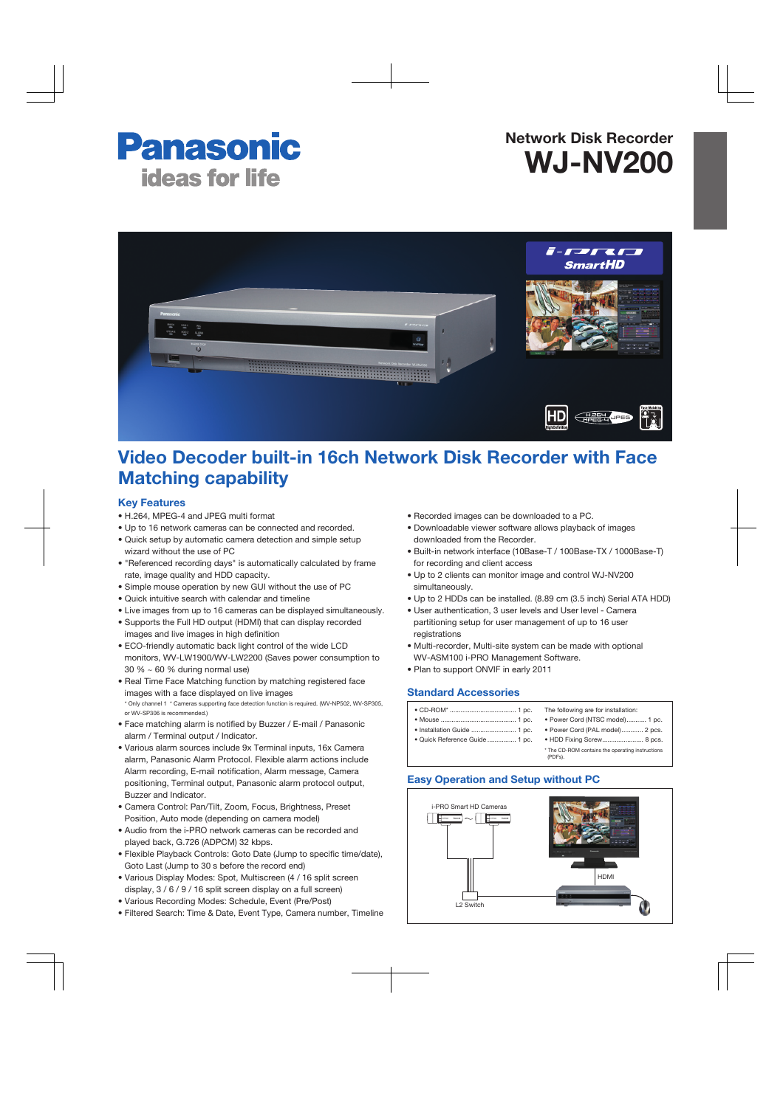# **Panasonic ideas for life**

# Network Disk Recorder WJ-NV200



# Video Decoder built-in 16ch Network Disk Recorder with Face Matching capability

### Key Features

- H.264, MPEG-4 and JPEG multi format
- Up to 16 network cameras can be connected and recorded.
- Quick setup by automatic camera detection and simple setup wizard without the use of PC
- "Referenced recording days" is automatically calculated by frame rate, image quality and HDD capacity.
- Simple mouse operation by new GUI without the use of PC
- Quick intuitive search with calendar and timeline
- Live images from up to 16 cameras can be displayed simultaneously.
- Supports the Full HD output (HDMI) that can display recorded images and live images in high definition
- ECO-friendly automatic back light control of the wide LCD monitors, WV-LW1900/WV-LW2200 (Saves power consumption to 30 % ~ 60 % during normal use)
- Real Time Face Matching function by matching registered face images with a face displayed on live images \* Only channel 1 \* Cameras supporting face detection function is required. (WV-NP502, WV-SP305, or WV-SP306 is recommended.)
- Face matching alarm is notified by Buzzer / E-mail / Panasonic alarm / Terminal output / Indicator.
- Various alarm sources include 9x Terminal inputs, 16x Camera alarm, Panasonic Alarm Protocol. Flexible alarm actions include Alarm recording, E-mail notification, Alarm message, Camera positioning, Terminal output, Panasonic alarm protocol output, Buzzer and Indicator.
- Camera Control: Pan/Tilt, Zoom, Focus, Brightness, Preset Position, Auto mode (depending on camera model)
- Audio from the i-PRO network cameras can be recorded and played back, G.726 (ADPCM) 32 kbps.
- Flexible Playback Controls: Goto Date (Jump to specific time/date), Goto Last (Jump to 30 s before the record end)
- Various Display Modes: Spot, Multiscreen (4 / 16 split screen display, 3 / 6 / 9 / 16 split screen display on a full screen)
- Various Recording Modes: Schedule, Event (Pre/Post)
- Filtered Search: Time & Date, Event Type, Camera number, Timeline
- Recorded images can be downloaded to a PC.
- Downloadable viewer software allows playback of images downloaded from the Recorder.
- Built-in network interface (10Base-T / 100Base-TX / 1000Base-T) for recording and client access
- Up to 2 clients can monitor image and control WJ-NV200 simultaneously.
- Up to 2 HDDs can be installed. (8.89 cm (3.5 inch) Serial ATA HDD)
- User authentication, 3 user levels and User level Camera partitioning setup for user management of up to 16 user registrations
- Multi-recorder, Multi-site system can be made with optional WV-ASM100 i-PRO Management Software.
- Plan to support ONVIF in early 2011

## Standard Accessories

# Easy Operation and Setup without PC